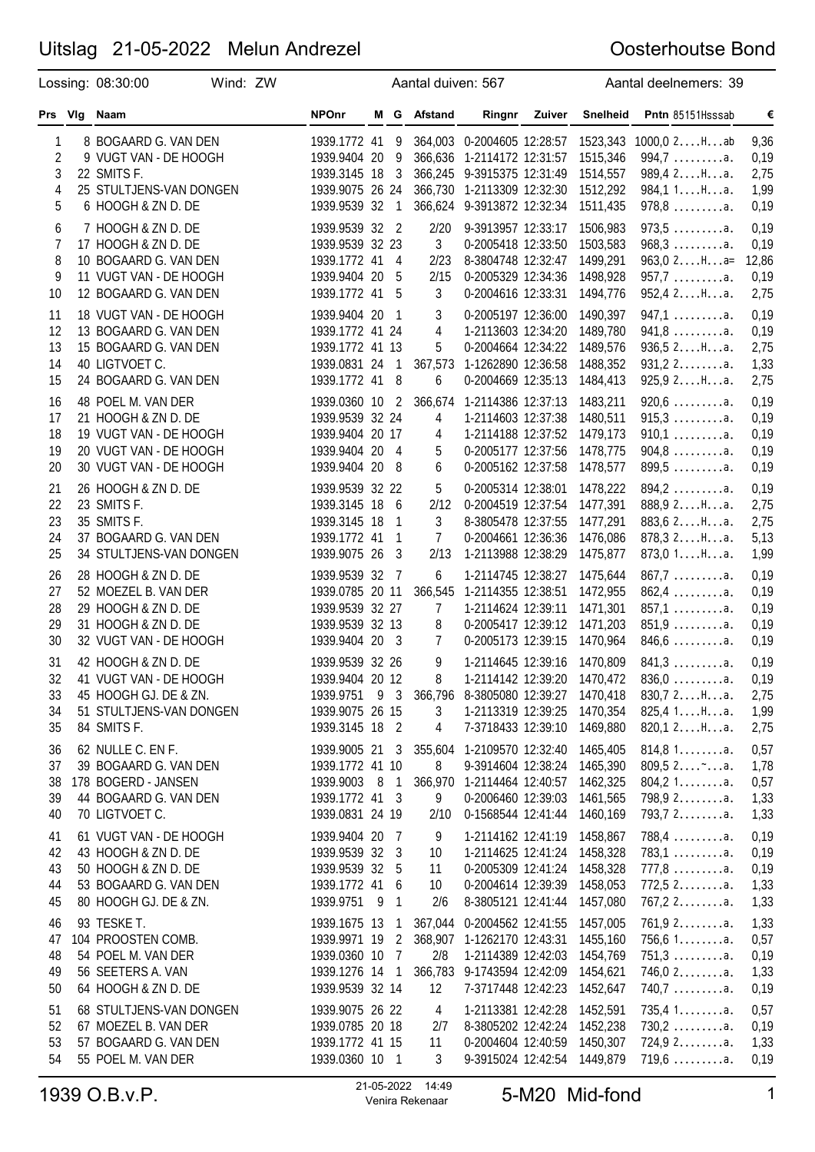|                                     | Lossing: 08:30:00                                                                                                       | Wind: ZW |                                                                                          |                                                | Aantal duiven: 567                       |                                                                                                                                                    |        |                                                          | Aantal deelnemers: 39                                                                  |                                       |
|-------------------------------------|-------------------------------------------------------------------------------------------------------------------------|----------|------------------------------------------------------------------------------------------|------------------------------------------------|------------------------------------------|----------------------------------------------------------------------------------------------------------------------------------------------------|--------|----------------------------------------------------------|----------------------------------------------------------------------------------------|---------------------------------------|
|                                     | Prs VIg Naam                                                                                                            |          | <b>NPOnr</b>                                                                             |                                                | M G Afstand                              | Ringnr                                                                                                                                             | Zuiver | <b>Snelheid</b>                                          | Pntn 85151Hsssab                                                                       | €                                     |
| 1<br>2<br>3<br>4<br>5               | 8 BOGAARD G. VAN DEN<br>9 VUGT VAN - DE HOOGH<br>22 SMITS F.<br>25 STULTJENS-VAN DONGEN<br>6 HOOGH & ZN D. DE           |          | 1939.1772 41 9<br>1939.9404 20<br>1939.3145 18<br>1939.9075 26 24<br>1939.9539 32        | - 9<br>$\overline{\mathbf{3}}$<br>$\mathbf{1}$ |                                          | 364,003 0-2004605 12:28:57<br>366,636 1-2114172 12:31:57<br>366,245 9-3915375 12:31:49<br>366,730 1-2113309 12:32:30<br>366,624 9-3913872 12:32:34 |        | 1523,343<br>1515,346<br>1514,557<br>1512,292<br>1511,435 | $1000, 02$ Hab<br>$994,7 \ldots \ldots a.$<br>989,4 2Ha.<br>984,1 1Ha.<br>$978,8$ a.   | 9,36<br>0,19<br>2,75<br>1,99<br>0,19  |
| 6<br>$\overline{7}$<br>8<br>9<br>10 | 7 HOOGH & ZN D. DE<br>17 HOOGH & ZN D. DE<br>10 BOGAARD G. VAN DEN<br>11 VUGT VAN - DE HOOGH<br>12 BOGAARD G. VAN DEN   |          | 1939.9539 32 2<br>1939.9539 32 23<br>1939.1772 41 4<br>1939.9404 20<br>1939.1772 41 5    | - 5                                            | 2/20<br>3<br>2/23<br>2/15<br>3           | 9-3913957 12:33:17<br>0-2005418 12:33:50<br>8-3804748 12:32:47<br>0-2005329 12:34:36<br>0-2004616 12:33:31                                         |        | 1506,983<br>1503,583<br>1499,291<br>1498,928<br>1494,776 | $973,5$ a.<br>$968,3 \ldots \ldots a.$<br>$963,02Ha=$<br>$957,7$ a.<br>952,42Ha.       | 0,19<br>0,19<br>12,86<br>0,19<br>2,75 |
| 11<br>12<br>13<br>14<br>15          | 18 VUGT VAN - DE HOOGH<br>13 BOGAARD G. VAN DEN<br>15 BOGAARD G. VAN DEN<br>40 LIGTVOET C.<br>24 BOGAARD G. VAN DEN     |          | 1939.9404 20<br>1939.1772 41 24<br>1939.1772 41 13<br>1939.0831 24 1<br>1939.1772 41 8   | - 1                                            | 3<br>4<br>5<br>367,573<br>6              | 0-2005197 12:36:00<br>1-2113603 12:34:20<br>0-2004664 12:34:22<br>1-1262890 12:36:58<br>0-2004669 12:35:13                                         |        | 1490,397<br>1489,780<br>1489,576<br>1488,352<br>1484,413 | $947,1$ a.<br>$941,8$ a.<br>936,52Ha.<br>$931, 22$ a.<br>925, 92Ha.                    | 0,19<br>0,19<br>2,75<br>1,33<br>2,75  |
| 16<br>17<br>18<br>19<br>20          | 48 POEL M. VAN DER<br>21 HOOGH & ZN D. DE<br>19 VUGT VAN - DE HOOGH<br>20 VUGT VAN - DE HOOGH<br>30 VUGT VAN - DE HOOGH |          | 1939.0360 10 2<br>1939.9539 32 24<br>1939.9404 20 17<br>1939.9404 20 4<br>1939.9404 20   | - 8                                            | 4<br>4<br>5<br>6                         | 366,674 1-2114386 12:37:13<br>1-2114603 12:37:38<br>1-2114188 12:37:52<br>0-2005177 12:37:56<br>0-2005162 12:37:58                                 |        | 1483,211<br>1480,511<br>1479,173<br>1478,775<br>1478,577 | $920,6$ a.<br>$915,3 \ldots \ldots a.$<br>$910,1$ a.<br>$904,8$ a.<br>$899,5$ a.       | 0,19<br>0,19<br>0,19<br>0,19<br>0,19  |
| 21<br>22<br>23<br>24<br>25          | 26 HOOGH & ZN D. DE<br>23 SMITS F.<br>35 SMITS F.<br>37 BOGAARD G. VAN DEN<br>34 STULTJENS-VAN DONGEN                   |          | 1939.9539 32 22<br>1939.3145 18<br>1939.3145 18<br>1939.1772 41 1<br>1939.9075 26        | - 6<br>1<br>- 3                                | 5<br>2/12<br>3<br>$\overline{7}$<br>2/13 | 0-2005314 12:38:01<br>0-2004519 12:37:54<br>8-3805478 12:37:55<br>0-2004661 12:36:36<br>1-2113988 12:38:29                                         |        | 1478,222<br>1477,391<br>1477,291<br>1476,086<br>1475,877 | $894, 2 \ldots \ldots \ldots$ a.<br>888,9 2Ha.<br>883,6 2Ha.<br>878,32Ha.<br>873,01Ha. | 0,19<br>2,75<br>2,75<br>5,13<br>1,99  |
| 26<br>27<br>28<br>29<br>30          | 28 HOOGH & ZN D. DE<br>52 MOEZEL B. VAN DER<br>29 HOOGH & ZN D. DE<br>31 HOOGH & ZN D. DE<br>32 VUGT VAN - DE HOOGH     |          | 1939.9539 32<br>1939.0785 20 11<br>1939.9539 32 27<br>1939.9539 32 13<br>1939.9404 20 3  | $\overline{7}$                                 | 6<br>7<br>8<br>7                         | 1-2114745 12:38:27<br>366,545 1-2114355 12:38:51<br>1-2114624 12:39:11<br>0-2005417 12:39:12<br>0-2005173 12:39:15                                 |        | 1475,644<br>1472,955<br>1471,301<br>1471,203<br>1470,964 | $867,7$ a.<br>$862,4$ a.<br>$857,1$ a.<br>$851,9$<br>$846,6$                           | 0,19<br>0,19<br>0,19<br>0,19<br>0,19  |
| 31<br>32<br>33<br>34<br>35          | 42 HOOGH & ZN D. DE<br>41 VUGT VAN - DE HOOGH<br>45 HOOGH GJ. DE & ZN.<br>51 STULTJENS-VAN DONGEN<br>84 SMITS F.        |          | 1939.9539 32 26<br>1939.9404 20 12<br>1939.9751 9 3<br>1939.9075 26 15<br>1939.3145 18 2 |                                                | 9<br>8<br>3<br>4                         | 1-2114645 12:39:16<br>1-2114142 12:39:20<br>366,796 8-3805080 12:39:27<br>1-2113319 12:39:25<br>7-3718433 12:39:10                                 |        | 1470,809<br>1470,472<br>1470,418<br>1470,354<br>1469,880 | $841,3$ a.<br>$836,0$ a.<br>830,72Ha.<br>825,41Ha.<br>820,12Ha.                        | 0,19<br>0,19<br>2,75<br>1,99<br>2,75  |
| 36<br>37<br>38<br>39<br>40          | 62 NULLE C. EN F.<br>39 BOGAARD G. VAN DEN<br>178 BOGERD - JANSEN<br>44 BOGAARD G. VAN DEN<br>70 LIGTVOET C.            |          | 1939.9005 21 3<br>1939.1772 41 10<br>1939.9003 8 1<br>1939.1772 41 3<br>1939.0831 24 19  |                                                | 8<br>9<br>2/10                           | 355,604 1-2109570 12:32:40<br>9-3914604 12:38:24<br>366,970 1-2114464 12:40:57<br>0-2006460 12:39:03<br>0-1568544 12:41:44                         |        | 1465,405<br>1465,390<br>1462,325<br>1461,565<br>1460,169 | 814,81a.<br>$809,52$<br>804, 21a.<br>798,9 2a.<br>793,7 2a.                            | 0,57<br>1,78<br>0,57<br>1,33<br>1,33  |
| 41<br>42<br>43<br>44<br>45          | 61 VUGT VAN - DE HOOGH<br>43 HOOGH & ZN D. DE<br>50 HOOGH & ZN D. DE<br>53 BOGAARD G. VAN DEN<br>80 HOOGH GJ. DE & ZN.  |          | 1939.9404 20 7<br>1939.9539 32 3<br>1939.9539 32 5<br>1939.1772 41 6<br>1939.9751 9 1    |                                                | 9<br>10<br>11<br>10<br>2/6               | 1-2114162 12:41:19<br>1-2114625 12:41:24<br>0-2005309 12:41:24<br>0-2004614 12:39:39<br>8-3805121 12:41:44                                         |        | 1458,867<br>1458,328<br>1458,328<br>1458,053<br>1457,080 | $788,4$ a.<br>$783,1$ a.<br>$777,8$ a.<br>$772,52$ a.<br>$767,22$ a.                   | 0,19<br>0,19<br>0,19<br>1,33<br>1,33  |
| 46<br>47<br>48<br>49<br>50          | 93 TESKE T.<br>104 PROOSTEN COMB.<br>54 POEL M. VAN DER<br>56 SEETERS A. VAN<br>64 HOOGH & ZN D. DE                     |          | 1939.1675 13 1<br>1939.9971 19 2<br>1939.0360 10 7<br>1939.1276 14 1<br>1939.9539 32 14  |                                                | 2/8<br>12                                | 367,044 0-2004562 12:41:55<br>368,907 1-1262170 12:43:31<br>1-2114389 12:42:03<br>366,783 9-1743594 12:42:09<br>7-3717448 12:42:23                 |        | 1457,005<br>1455,160<br>1454,769<br>1454,621<br>1452,647 | $761,92$ a.<br>$756,61$ a.<br>$751,3$ a.<br>$746,02$ a.<br>$740,7$ a.                  | 1,33<br>0,57<br>0,19<br>1,33<br>0,19  |
| 51<br>52<br>53<br>54                | 68 STULTJENS-VAN DONGEN<br>67 MOEZEL B. VAN DER<br>57 BOGAARD G. VAN DEN<br>55 POEL M. VAN DER                          |          | 1939.9075 26 22<br>1939.0785 20 18<br>1939.1772 41 15<br>1939.0360 10 1                  |                                                | 4<br>2/7<br>11<br>3                      | 1-2113381 12:42:28<br>8-3805202 12:42:24<br>0-2004604 12:40:59<br>9-3915024 12:42:54                                                               |        | 1452,591<br>1452,238<br>1450,307<br>1449,879             | 735,41a.<br>$730,2$ a.<br>724,92a.<br>$719,6 \ldots \ldots \ldots$ a.                  | 0,57<br>0,19<br>1,33<br>0,19          |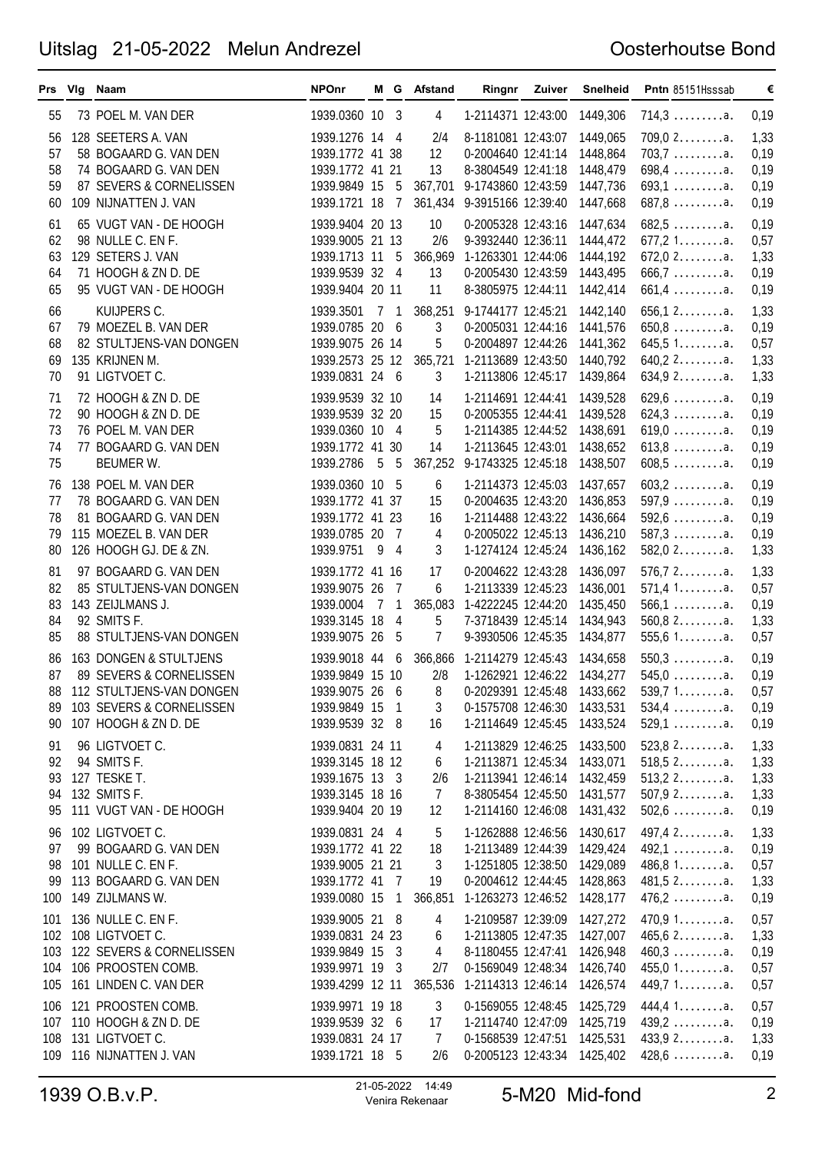|                             | Prs Vig Naam                                                                                                                         | <b>NPOnr</b>                                                                               |     |                                  | M G Afstand                           |                                                                                                                                      | Ringnr Zuiver | Snelheid                                                 | Pntn 85151Hsssab                                                                          | €                                    |
|-----------------------------|--------------------------------------------------------------------------------------------------------------------------------------|--------------------------------------------------------------------------------------------|-----|----------------------------------|---------------------------------------|--------------------------------------------------------------------------------------------------------------------------------------|---------------|----------------------------------------------------------|-------------------------------------------------------------------------------------------|--------------------------------------|
| 55                          | 73 POEL M. VAN DER                                                                                                                   | 1939.0360 10 3                                                                             |     |                                  | 4                                     | 1-2114371 12:43:00                                                                                                                   |               | 1449,306                                                 | $714,3 \ldots \ldots a.$                                                                  | 0,19                                 |
| 56<br>57<br>58<br>59<br>60  | 128 SEETERS A. VAN<br>58 BOGAARD G. VAN DEN<br>74 BOGAARD G. VAN DEN<br>87 SEVERS & CORNELISSEN<br>109 NIJNATTEN J. VAN              | 1939.1276 14 4<br>1939.1772 41 38<br>1939.1772 41 21<br>1939.9849 15 5<br>1939.1721 18 7   |     |                                  | 2/4<br>12<br>13                       | 8-1181081 12:43:07<br>0-2004640 12:41:14<br>8-3804549 12:41:18<br>367,701 9-1743860 12:43:59<br>361,434 9-3915166 12:39:40           |               | 1449,065<br>1448,864<br>1448,479<br>1447,736<br>1447,668 | $709,02$ a.<br>$703,7 \ldots \ldots \ldots$ a.<br>$698,4$ a.<br>$693,1$ a.<br>$687,8$ a.  | 1,33<br>0,19<br>0,19<br>0,19<br>0,19 |
| 61<br>62<br>63<br>64<br>65  | 65 VUGT VAN - DE HOOGH<br>98 NULLE C. EN F.<br>129 SETERS J. VAN<br>71 HOOGH & ZN D. DE<br>95 VUGT VAN - DE HOOGH                    | 1939.9404 20 13<br>1939.9005 21 13<br>1939.1713 11 5<br>1939.9539 32 4<br>1939.9404 20 11  |     |                                  | 10<br>2/6<br>13<br>11                 | 0-2005328 12:43:16<br>9-3932440 12:36:11<br>366,969 1-1263301 12:44:06<br>0-2005430 12:43:59<br>8-3805975 12:44:11                   |               | 1447,634<br>1444,472<br>1444,192<br>1443,495<br>1442,414 | 682,5a.<br>$677,21$ a.<br>$672,02$ a.<br>$666,7$ a.<br>$661, 4 \ldots \ldots \ldots$ a.   | 0,19<br>0,57<br>1,33<br>0,19<br>0,19 |
| 66<br>67<br>68<br>69<br>70  | KUIJPERS C.<br>79 MOEZEL B. VAN DER<br>82 STULTJENS-VAN DONGEN<br>135 KRIJNEN M.<br>91 LIGTVOET C.                                   | 1939.3501<br>1939.0785 20 6<br>1939.9075 26 14<br>1939.2573 25 12<br>1939.0831 24 6        | 7 1 |                                  | 3<br>5<br>3                           | 368,251 9-1744177 12:45:21<br>0-2005031 12:44:16<br>0-2004897 12:44:26<br>365,721 1-2113689 12:43:50<br>1-2113806 12:45:17           |               | 1442,140<br>1441,576<br>1441,362<br>1440,792<br>1439,864 | $656,12$ a.<br>$650,8$ a.<br>645,51a.<br>$640, 22$ a.<br>634.92a.                         | 1,33<br>0,19<br>0,57<br>1,33<br>1,33 |
| 71<br>72<br>73<br>74<br>75  | 72 HOOGH & ZN D. DE<br>90 HOOGH & ZN D. DE<br>76 POEL M. VAN DER<br>77 BOGAARD G. VAN DEN<br>BEUMER W.                               | 1939.9539 32 10<br>1939.9539 32 20<br>1939.0360 10 4<br>1939.1772 41 30<br>1939.2786       | 5   | -5                               | 14<br>15<br>5<br>14                   | 1-2114691 12:44:41<br>0-2005355 12:44:41<br>1-2114385 12:44:52<br>1-2113645 12:43:01<br>367,252 9-1743325 12:45:18                   |               | 1439,528<br>1439,528<br>1438,691<br>1438,652<br>1438,507 | $629,6$ a.<br>$624.3 \ldots \ldots a.$<br>$619,0$ a.<br>$613,8$ a.<br>$608,5$ a.          | 0,19<br>0,19<br>0,19<br>0,19<br>0,19 |
| 76<br>77<br>78<br>79<br>80  | 138 POEL M. VAN DER<br>78 BOGAARD G. VAN DEN<br>81 BOGAARD G. VAN DEN<br>115 MOEZEL B. VAN DER<br>126 HOOGH GJ. DE & ZN.             | 1939.0360 10 5<br>1939.1772 41 37<br>1939.1772 41 23<br>1939.0785 20<br>1939.9751 9        |     | $\overline{7}$<br>$\overline{4}$ | 6<br>15<br>16<br>4<br>3               | 1-2114373 12:45:03<br>0-2004635 12:43:20<br>1-2114488 12:43:22<br>0-2005022 12:45:13<br>1-1274124 12:45:24                           |               | 1437,657<br>1436,853<br>1436,664<br>1436,210<br>1436,162 | $603, 2 \ldots \ldots \ldots$ a.<br>$597,9$ a.<br>$592,6$ a.<br>$587,3$ a.<br>$582,02$ a. | 0,19<br>0,19<br>0,19<br>0,19<br>1,33 |
| 81<br>82<br>83<br>84<br>85  | 97 BOGAARD G. VAN DEN<br>85 STULTJENS-VAN DONGEN<br>143 ZEIJLMANS J.<br>92 SMITS F.<br>88 STULTJENS-VAN DONGEN                       | 1939.1772 41 16<br>1939.9075 26<br>1939.0004<br>1939.3145 18<br>1939.9075 26               | 7 1 | - 7<br>4<br>-5                   | 17<br>6<br>365,083<br>5<br>7          | 0-2004622 12:43:28<br>1-2113339 12:45:23<br>1-4222245 12:44:20<br>7-3718439 12:45:14<br>9-3930506 12:45:35                           |               | 1436,097<br>1436,001<br>1435,450<br>1434,943<br>1434,877 | $576, 72$ a.<br>571,41a.<br>$566,1$ a.<br>$560,82$ a.<br>555,61a.                         | 1,33<br>0,57<br>0,19<br>1,33<br>0,57 |
| 86<br>87<br>89<br>90        | 163 DONGEN & STULTJENS<br>89 SEVERS & CORNELISSEN<br>88 112 STULTJENS-VAN DONGEN<br>103 SEVERS & CORNELISSEN<br>107 HOOGH & ZN D. DE | 1939.9018 44 6<br>1939.9849 15 10<br>1939.9075 26 6<br>1939.9849 15 1<br>1939.9539 32 8    |     |                                  | 2/8<br>8<br>3<br>16                   | 366,866 1-2114279 12:45:43<br>1-1262921 12:46:22 1434,277<br>0-2029391 12:45:48 1433,662<br>0-1575708 12:46:30<br>1-2114649 12:45:45 |               | 1434,658<br>1433,531<br>1433,524                         | $550,3$ a.<br>$545,0$ a.<br>539,71a.<br>$534,4$ a.<br>$529,1$ a.                          | 0,19<br>0,19<br>0,57<br>0,19<br>0,19 |
| 91<br>92<br>93<br>94<br>95  | 96 LIGTVOET C.<br>94 SMITS F.<br>127 TESKE T.<br>132 SMITS F.<br>111 VUGT VAN - DE HOOGH                                             | 1939.0831 24 11<br>1939.3145 18 12<br>1939.1675 13 3<br>1939.3145 18 16<br>1939.9404 20 19 |     |                                  | 4<br>6<br>2/6<br>$\overline{7}$<br>12 | 1-2113829 12:46:25<br>1-2113871 12:45:34<br>1-2113941 12:46:14<br>8-3805454 12:45:50<br>1-2114160 12:46:08                           |               | 1433,500<br>1433,071<br>1432,459<br>1431,577<br>1431,432 | 523,82a.<br>518,52a.<br>$513, 22$<br>$507,92$ a.<br>$502,6$ a.                            | 1,33<br>1,33<br>1,33<br>1,33<br>0,19 |
| 96<br>97<br>98<br>99<br>100 | 102 LIGTVOET C.<br>99 BOGAARD G. VAN DEN<br>101 NULLE C. EN F.<br>113 BOGAARD G. VAN DEN<br>149 ZIJLMANS W.                          | 1939.0831 24 4<br>1939.1772 41 22<br>1939.9005 21 21<br>1939.1772 41 7<br>1939.0080 15     |     | $\mathbf{1}$                     | 5<br>18<br>3<br>19                    | 1-1262888 12:46:56<br>1-2113489 12:44:39<br>1-1251805 12:38:50<br>0-2004612 12:44:45<br>366,851 1-1263273 12:46:52                   |               | 1430,617<br>1429,424<br>1429,089<br>1428,863<br>1428,177 | 497,4 2. a.<br>$492,1$ a.<br>$486,81$ a.<br>481,52a.<br>$476,2$ a.                        | 1,33<br>0,19<br>0,57<br>1,33<br>0,19 |
| 105                         | 101 136 NULLE C. EN F.<br>102 108 LIGTVOET C.<br>103 122 SEVERS & CORNELISSEN<br>104 106 PROOSTEN COMB.<br>161 LINDEN C. VAN DER     | 1939.9005 21 8<br>1939.0831 24 23<br>1939.9849 15 3<br>1939.9971 19 3<br>1939.4299 12 11   |     |                                  | 4<br>6<br>4<br>2/7<br>365,536         | 1-2109587 12:39:09<br>1-2113805 12:47:35<br>8-1180455 12:47:41<br>0-1569049 12:48:34<br>1-2114313 12:46:14                           |               | 1427,272<br>1427,007<br>1426,948<br>1426,740<br>1426,574 | $470,9$ 1a.<br>$465,62$ a.<br>$460,3$ a.<br>$455,01$ a.<br>449,7 1a.                      | 0,57<br>1,33<br>0,19<br>0,57<br>0,57 |
| 107<br>108<br>109           | 106 121 PROOSTEN COMB.<br>110 HOOGH & ZN D. DE<br>131 LIGTVOET C.<br>116 NIJNATTEN J. VAN                                            | 1939.9971 19 18<br>1939.9539 32 6<br>1939.0831 24 17<br>1939.1721 18 5                     |     |                                  | 3<br>17<br>$\overline{7}$<br>2/6      | 0-1569055 12:48:45<br>1-2114740 12:47:09<br>0-1568539 12:47:51<br>0-2005123 12:43:34                                                 |               | 1425,729<br>1425,719<br>1425,531<br>1425,402             | 444,4 1a.<br>$439,2$ a.<br>433,92a.<br>$428,6$ a.                                         | 0,57<br>0,19<br>1,33<br>0,19         |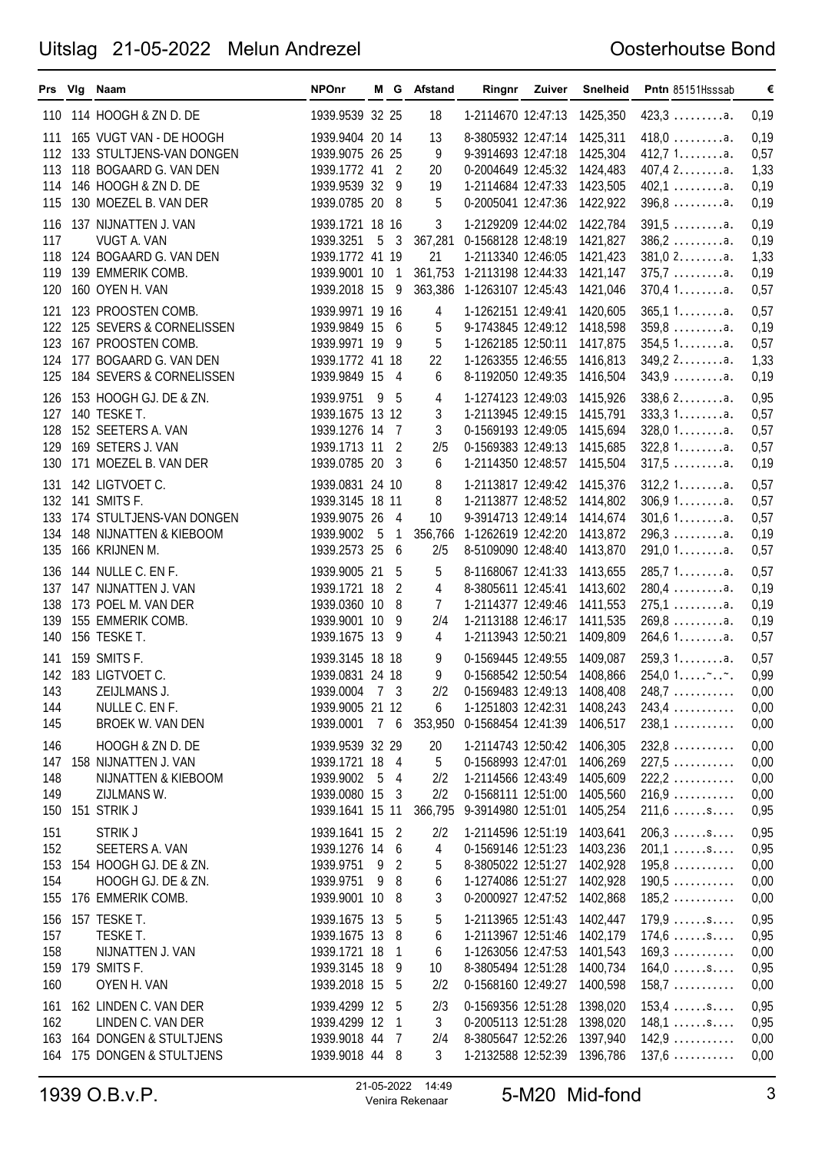|                                 | Prs Vig Naam                                                                                                                       | <b>NPOnr</b>                                                                            |                 |                                                   | M G Afstand                      |                                                                                                                                          | Ringnr Zuiver | Snelheid                                                 | Pntn 85151Hsssab                                                                                             | €                                    |
|---------------------------------|------------------------------------------------------------------------------------------------------------------------------------|-----------------------------------------------------------------------------------------|-----------------|---------------------------------------------------|----------------------------------|------------------------------------------------------------------------------------------------------------------------------------------|---------------|----------------------------------------------------------|--------------------------------------------------------------------------------------------------------------|--------------------------------------|
|                                 | 110 114 HOOGH & ZN D. DE                                                                                                           | 1939.9539 32 25                                                                         |                 |                                                   | 18                               | 1-2114670 12:47:13                                                                                                                       |               | 1425,350                                                 | $423,3 \ldots \ldots a.$                                                                                     | 0,19                                 |
| 111<br>113<br>114<br>115        | 165 VUGT VAN - DE HOOGH<br>112 133 STULTJENS-VAN DONGEN<br>118 BOGAARD G. VAN DEN<br>146 HOOGH & ZN D. DE<br>130 MOEZEL B. VAN DER | 1939.9404 20 14<br>1939.9075 26 25<br>1939.1772 41 2<br>1939.9539 32<br>1939.0785 20 8  |                 | - 9                                               | 13<br>9<br>20<br>19<br>5         | 8-3805932 12:47:14<br>9-3914693 12:47:18<br>0-2004649 12:45:32<br>1-2114684 12:47:33<br>0-2005041 12:47:36                               |               | 1425,311<br>1425,304<br>1424,483<br>1423,505<br>1422,922 | $418,0$ a.<br>412,71a.<br>$407,42$ a.<br>$402,1$ a.<br>$396,8$ a.                                            | 0,19<br>0,57<br>1,33<br>0,19<br>0,19 |
| 116<br>117<br>118<br>119<br>120 | 137 NIJNATTEN J. VAN<br>VUGT A. VAN<br>124 BOGAARD G. VAN DEN<br>139 EMMERIK COMB.<br>160 OYEN H. VAN                              | 1939.1721 18 16<br>1939.3251<br>1939.1772 41 19<br>1939.9001 10<br>1939.2018 15         | $5\overline{5}$ | - 3<br>$\overline{1}$<br>9                        | 3<br>21<br>361,753<br>363,386    | 1-2129209 12:44:02<br>367,281 0-1568128 12:48:19<br>1-2113340 12:46:05<br>1-2113198 12:44:33<br>1-1263107 12:45:43                       |               | 1422,784<br>1421,827<br>1421,423<br>1421,147<br>1421,046 | $391,5$ a.<br>$386, 2 \ldots \ldots \ldots$ a.<br>$381,02$ a.<br>$375,7 \ldots \ldots \ldots$ a.<br>370,41a. | 0,19<br>0,19<br>1,33<br>0,19<br>0,57 |
| 121<br>122<br>123<br>124<br>125 | 123 PROOSTEN COMB.<br>125 SEVERS & CORNELISSEN<br>167 PROOSTEN COMB.<br>177 BOGAARD G. VAN DEN<br>184 SEVERS & CORNELISSEN         | 1939.9971 19 16<br>1939.9849 15<br>1939.9971 19<br>1939.1772 41 18<br>1939.9849 15      |                 | - 6<br>- 9<br>- 4                                 | 4<br>5<br>5<br>22<br>6           | 1-1262151 12:49:41<br>9-1743845 12:49:12<br>1-1262185 12:50:11<br>1-1263355 12:46:55<br>8-1192050 12:49:35                               |               | 1420,605<br>1418,598<br>1417,875<br>1416,813<br>1416,504 | 365,11a.<br>$359,8$ a.<br>354,51a.<br>$349,22$ a.<br>$343,9$                                                 | 0,57<br>0,19<br>0,57<br>1,33<br>0,19 |
| 126<br>127<br>128<br>129<br>130 | 153 HOOGH GJ. DE & ZN.<br>140 TESKE T.<br>152 SEETERS A. VAN<br>169 SETERS J. VAN<br>171 MOEZEL B. VAN DER                         | 1939.9751 9<br>1939.1675 13 12<br>1939.1276 14<br>1939.1713 11<br>1939.0785 20          |                 | - 5<br>- 7<br>2<br>- 3                            | 4<br>3<br>3<br>2/5<br>6          | 1-1274123 12:49:03<br>1-2113945 12:49:15<br>0-1569193 12:49:05<br>0-1569383 12:49:13<br>1-2114350 12:48:57                               |               | 1415,926<br>1415,791<br>1415,694<br>1415,685<br>1415,504 | $338,62$ a.<br>333,31a.<br>$328,01$ a.<br>322,81a.<br>$317,5$ a.                                             | 0,95<br>0,57<br>0,57<br>0,57<br>0,19 |
| 133<br>134<br>135               | 131 142 LIGTVOET C.<br>132 141 SMITS F.<br>174 STULTJENS-VAN DONGEN<br>148 NIJNATTEN & KIEBOOM<br>166 KRIJNEN M.                   | 1939.0831 24 10<br>1939.3145 18 11<br>1939.9075 26<br>1939.9002 5<br>1939.2573 25       |                 | - 4<br>$\mathbf{1}$<br>- 6                        | 8<br>8<br>10<br>2/5              | 1-2113817 12:49:42<br>1-2113877 12:48:52 1414,802<br>9-3914713 12:49:14<br>356,766 1-1262619 12:42:20<br>8-5109090 12:48:40              |               | 1415,376<br>1414,674<br>1413,872<br>1413,870             | 312,21a.<br>306,91a.<br>301,61a.<br>$296,3$ a.<br>$291,01$ a.                                                | 0,57<br>0,57<br>0,57<br>0,19<br>0,57 |
| 136<br>137<br>138<br>139<br>140 | 144 NULLE C. EN F.<br>147 NIJNATTEN J. VAN<br>173 POEL M. VAN DER<br>155 EMMERIK COMB.<br>156 TESKE T.                             | 1939.9005 21<br>1939.1721 18<br>1939.0360 10<br>1939.9001 10<br>1939.1675 13            |                 | - 5<br>$\overline{2}$<br>- 8<br>-9<br>- 9         | 5<br>4<br>7<br>2/4<br>4          | 8-1168067 12:41:33<br>8-3805611 12:45:41<br>1-2114377 12:49:46<br>1-2113188 12:46:17<br>1-2113943 12:50:21                               |               | 1413,655<br>1413,602<br>1411,553<br>1411,535<br>1409,809 | 285,71a.<br>$280,4$ a.<br>$275,1$ a.<br>$269,8$ a.<br>264,61a.                                               | 0,57<br>0,19<br>0,19<br>0,19<br>0,57 |
| 143<br>144<br>145               | 141 159 SMITS F.<br>142 183 LIGTVOET C.<br>ZEIJLMANS J.<br>NULLE C. EN F.<br>BROEK W. VAN DEN                                      | 1939.3145 18 18<br>1939.0831 24 18<br>1939.0004 7 3<br>1939.9005 21 12<br>1939.0001 7 6 |                 |                                                   | 9<br>9<br>6                      | 0-1569445 12:49:55<br>0-1568542 12:50:54 1408,866<br>2/2 0-1569483 12:49:13 1408,408<br>1-1251803 12:42:31<br>353,950 0-1568454 12:41:39 |               | 1409,087<br>1408,243<br>1406,517                         | 259.31a.<br>$254,01$<br>$248,7$<br>$243,4$<br>$238,1$                                                        | 0,57<br>0,99<br>0,00<br>0,00<br>0,00 |
| 146<br>147<br>148<br>149<br>150 | HOOGH & ZN D. DE<br>158 NIJNATTEN J. VAN<br>NIJNATTEN & KIEBOOM<br>ZIJLMANS W.<br>151 STRIK J                                      | 1939.9539 32 29<br>1939.1721 18<br>1939.9002<br>1939.0080 15<br>1939.1641 15 11         | 5               | $\overline{4}$<br>$\overline{4}$<br>-3            | 20<br>5<br>2/2<br>2/2<br>366,795 | 1-2114743 12:50:42<br>0-1568993 12:47:01<br>1-2114566 12:43:49<br>0-1568111 12:51:00<br>9-3914980 12:51:01                               |               | 1406,305<br>1406,269<br>1405,609<br>1405,560<br>1405,254 | $232,8$<br>$227,5$<br>$222, 2 \ldots \ldots$<br>$216,9$<br>$211,6 \ldots$ .s                                 | 0,00<br>0,00<br>0,00<br>0,00<br>0,95 |
| 151<br>152<br>154<br>155        | <b>STRIK J</b><br>SEETERS A. VAN<br>153 154 HOOGH GJ. DE & ZN.<br>HOOGH GJ. DE & ZN.<br>176 EMMERIK COMB.                          | 1939.1641 15<br>1939.1276 14<br>1939.9751<br>1939.9751<br>1939.9001 10                  | - 9<br>- 9      | $\overline{2}$<br>-6<br>$\overline{2}$<br>8<br>-8 | 2/2<br>4<br>5<br>6<br>3          | 1-2114596 12:51:19<br>0-1569146 12:51:23<br>8-3805022 12:51:27<br>1-1274086 12:51:27<br>0-2000927 12:47:52                               |               | 1403,641<br>1403,236<br>1402,928<br>1402,928<br>1402,868 | $206,3 \ldots$ .s<br>$201,1$ s<br>$195,8$<br>$190,5$<br>$185,2$                                              | 0,95<br>0,95<br>0,00<br>0,00<br>0,00 |
| 156<br>157<br>158<br>159<br>160 | 157 TESKE T.<br>TESKE T.<br>NIJNATTEN J. VAN<br>179 SMITS F.<br>OYEN H. VAN                                                        | 1939.1675 13<br>1939.1675 13<br>1939.1721 18<br>1939.3145 18<br>1939.2018 15            |                 | -5<br>-8<br>-1<br>- 9<br>-5                       | 5<br>6<br>6<br>10<br>2/2         | 1-2113965 12:51:43<br>1-2113967 12:51:46<br>1-1263056 12:47:53<br>8-3805494 12:51:28<br>0-1568160 12:49:27                               |               | 1402,447<br>1402,179<br>1401,543<br>1400,734<br>1400,598 | $179.9 \ldots$ .s<br>$174,6 \ldots$ .s<br>$169,3 \ldots$<br>$164,0 \ldots$ .s<br>$158,7 \ldots \ldots$       | 0,95<br>0,95<br>0,00<br>0,95<br>0,00 |
| 162<br>163<br>164               | 161 162 LINDEN C. VAN DER<br>LINDEN C. VAN DER<br>164 DONGEN & STULTJENS<br>175 DONGEN & STULTJENS                                 | 1939.4299 12<br>1939.4299 12<br>1939.9018 44<br>1939.9018 44 8                          |                 | - 5<br>-1<br>-7                                   | 2/3<br>3<br>2/4<br>3             | 0-1569356 12:51:28<br>0-2005113 12:51:28<br>8-3805647 12:52:26<br>1-2132588 12:52:39                                                     |               | 1398,020<br>1398,020<br>1397,940<br>1396,786             | $153,4 \ldots$ .s<br>$148,1 \ldots$ .s<br>142,9<br>$137,6$                                                   | 0,95<br>0,95<br>0,00<br>0,00         |